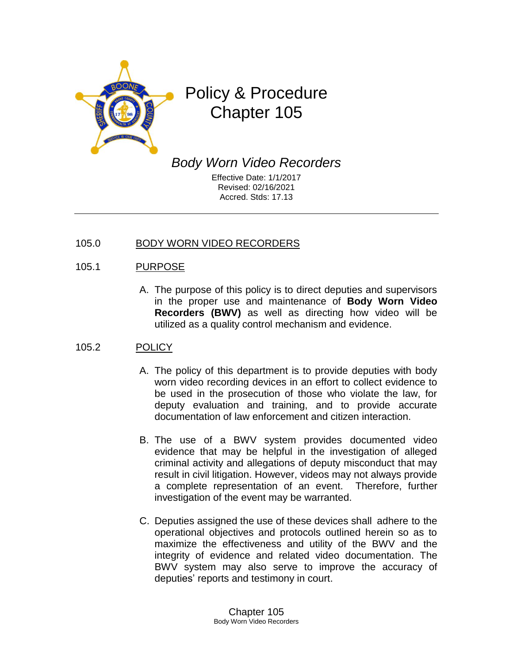

# Policy & Procedure Chapter 105

*Body Worn Video Recorders*

Effective Date: 1/1/2017 Revised: 02/16/2021 Accred. Stds: 17.13

## 105.0 BODY WORN VIDEO RECORDERS

# 105.1 PURPOSE

A. The purpose of this policy is to direct deputies and supervisors in the proper use and maintenance of **Body Worn Video Recorders (BWV)** as well as directing how video will be utilized as a quality control mechanism and evidence.

## 105.2 POLICY

- A. The policy of this department is to provide deputies with body worn video recording devices in an effort to collect evidence to be used in the prosecution of those who violate the law, for deputy evaluation and training, and to provide accurate documentation of law enforcement and citizen interaction.
- B. The use of a BWV system provides documented video evidence that may be helpful in the investigation of alleged criminal activity and allegations of deputy misconduct that may result in civil litigation. However, videos may not always provide a complete representation of an event. Therefore, further investigation of the event may be warranted.
- C. Deputies assigned the use of these devices shall adhere to the operational objectives and protocols outlined herein so as to maximize the effectiveness and utility of the BWV and the integrity of evidence and related video documentation. The BWV system may also serve to improve the accuracy of deputies' reports and testimony in court.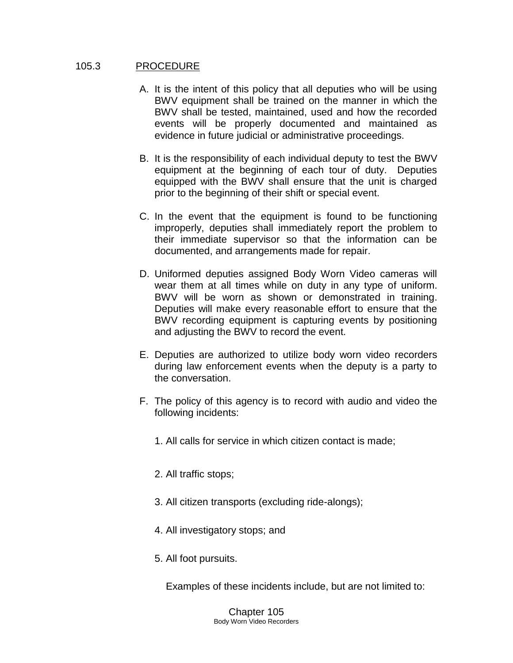#### 105.3 PROCEDURE

- A. It is the intent of this policy that all deputies who will be using BWV equipment shall be trained on the manner in which the BWV shall be tested, maintained, used and how the recorded events will be properly documented and maintained as evidence in future judicial or administrative proceedings.
- B. It is the responsibility of each individual deputy to test the BWV equipment at the beginning of each tour of duty. Deputies equipped with the BWV shall ensure that the unit is charged prior to the beginning of their shift or special event.
- C. In the event that the equipment is found to be functioning improperly, deputies shall immediately report the problem to their immediate supervisor so that the information can be documented, and arrangements made for repair.
- D. Uniformed deputies assigned Body Worn Video cameras will wear them at all times while on duty in any type of uniform. BWV will be worn as shown or demonstrated in training. Deputies will make every reasonable effort to ensure that the BWV recording equipment is capturing events by positioning and adjusting the BWV to record the event.
- E. Deputies are authorized to utilize body worn video recorders during law enforcement events when the deputy is a party to the conversation.
- F. The policy of this agency is to record with audio and video the following incidents:
	- 1. All calls for service in which citizen contact is made;
	- 2. All traffic stops;
	- 3. All citizen transports (excluding ride-alongs);
	- 4. All investigatory stops; and
	- 5. All foot pursuits.

Examples of these incidents include, but are not limited to:

Chapter 105 Body Worn Video Recorders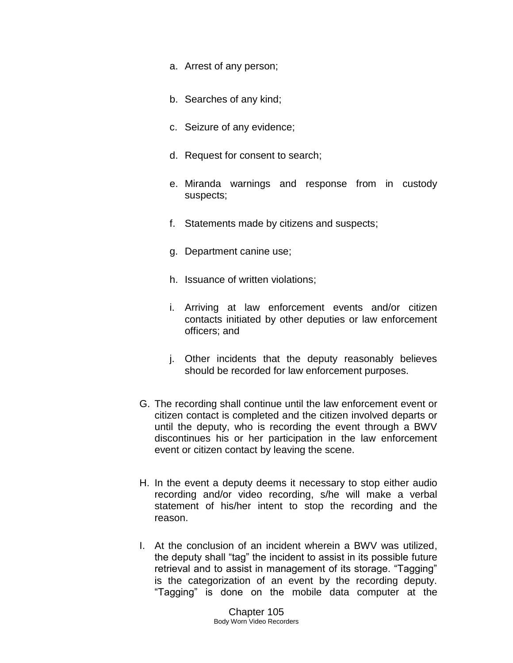- a. Arrest of any person;
- b. Searches of any kind;
- c. Seizure of any evidence;
- d. Request for consent to search;
- e. Miranda warnings and response from in custody suspects;
- f. Statements made by citizens and suspects;
- g. Department canine use;
- h. Issuance of written violations;
- i. Arriving at law enforcement events and/or citizen contacts initiated by other deputies or law enforcement officers; and
- j. Other incidents that the deputy reasonably believes should be recorded for law enforcement purposes.
- G. The recording shall continue until the law enforcement event or citizen contact is completed and the citizen involved departs or until the deputy, who is recording the event through a BWV discontinues his or her participation in the law enforcement event or citizen contact by leaving the scene.
- H. In the event a deputy deems it necessary to stop either audio recording and/or video recording, s/he will make a verbal statement of his/her intent to stop the recording and the reason.
- I. At the conclusion of an incident wherein a BWV was utilized, the deputy shall "tag" the incident to assist in its possible future retrieval and to assist in management of its storage. "Tagging" is the categorization of an event by the recording deputy. "Tagging" is done on the mobile data computer at the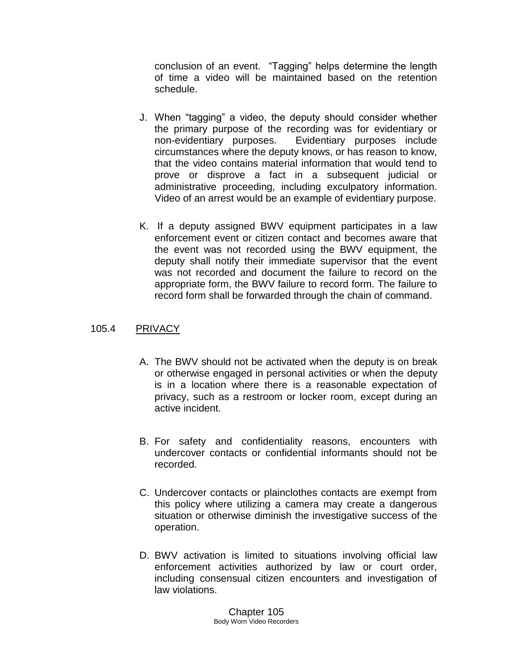conclusion of an event. "Tagging" helps determine the length of time a video will be maintained based on the retention schedule.

- J. When "tagging" a video, the deputy should consider whether the primary purpose of the recording was for evidentiary or non-evidentiary purposes. Evidentiary purposes include circumstances where the deputy knows, or has reason to know, that the video contains material information that would tend to prove or disprove a fact in a subsequent judicial or administrative proceeding, including exculpatory information. Video of an arrest would be an example of evidentiary purpose.
- K. If a deputy assigned BWV equipment participates in a law enforcement event or citizen contact and becomes aware that the event was not recorded using the BWV equipment, the deputy shall notify their immediate supervisor that the event was not recorded and document the failure to record on the appropriate form, the BWV failure to record form. The failure to record form shall be forwarded through the chain of command.

## 105.4 PRIVACY

- A. The BWV should not be activated when the deputy is on break or otherwise engaged in personal activities or when the deputy is in a location where there is a reasonable expectation of privacy, such as a restroom or locker room, except during an active incident.
- B. For safety and confidentiality reasons, encounters with undercover contacts or confidential informants should not be recorded.
- C. Undercover contacts or plainclothes contacts are exempt from this policy where utilizing a camera may create a dangerous situation or otherwise diminish the investigative success of the operation.
- D. BWV activation is limited to situations involving official law enforcement activities authorized by law or court order, including consensual citizen encounters and investigation of law violations.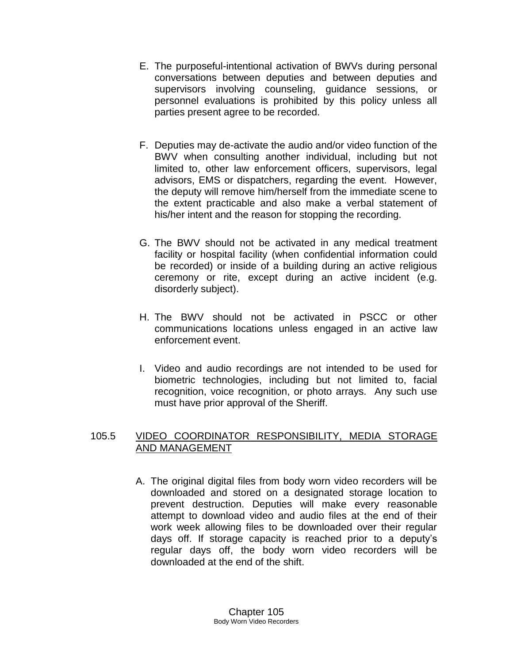- E. The purposeful-intentional activation of BWVs during personal conversations between deputies and between deputies and supervisors involving counseling, guidance sessions, or personnel evaluations is prohibited by this policy unless all parties present agree to be recorded.
- F. Deputies may de-activate the audio and/or video function of the BWV when consulting another individual, including but not limited to, other law enforcement officers, supervisors, legal advisors, EMS or dispatchers, regarding the event. However, the deputy will remove him/herself from the immediate scene to the extent practicable and also make a verbal statement of his/her intent and the reason for stopping the recording.
- G. The BWV should not be activated in any medical treatment facility or hospital facility (when confidential information could be recorded) or inside of a building during an active religious ceremony or rite, except during an active incident (e.g. disorderly subject).
- H. The BWV should not be activated in PSCC or other communications locations unless engaged in an active law enforcement event.
- I. Video and audio recordings are not intended to be used for biometric technologies, including but not limited to, facial recognition, voice recognition, or photo arrays. Any such use must have prior approval of the Sheriff.

# 105.5 VIDEO COORDINATOR RESPONSIBILITY, MEDIA STORAGE AND MANAGEMENT

A. The original digital files from body worn video recorders will be downloaded and stored on a designated storage location to prevent destruction. Deputies will make every reasonable attempt to download video and audio files at the end of their work week allowing files to be downloaded over their regular days off. If storage capacity is reached prior to a deputy's regular days off, the body worn video recorders will be downloaded at the end of the shift.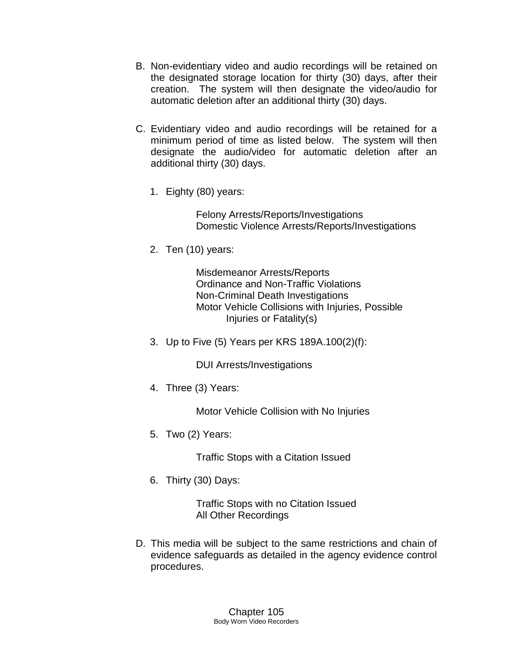- B. Non-evidentiary video and audio recordings will be retained on the designated storage location for thirty (30) days, after their creation. The system will then designate the video/audio for automatic deletion after an additional thirty (30) days.
- C. Evidentiary video and audio recordings will be retained for a minimum period of time as listed below. The system will then designate the audio/video for automatic deletion after an additional thirty (30) days.
	- 1. Eighty (80) years:

Felony Arrests/Reports/Investigations Domestic Violence Arrests/Reports/Investigations

2. Ten (10) years:

Misdemeanor Arrests/Reports Ordinance and Non-Traffic Violations Non-Criminal Death Investigations Motor Vehicle Collisions with Injuries, Possible Injuries or Fatality(s)

3. Up to Five (5) Years per KRS 189A.100(2)(f):

DUI Arrests/Investigations

4. Three (3) Years:

Motor Vehicle Collision with No Injuries

5. Two (2) Years:

Traffic Stops with a Citation Issued

6. Thirty (30) Days:

Traffic Stops with no Citation Issued All Other Recordings

D. This media will be subject to the same restrictions and chain of evidence safeguards as detailed in the agency evidence control procedures.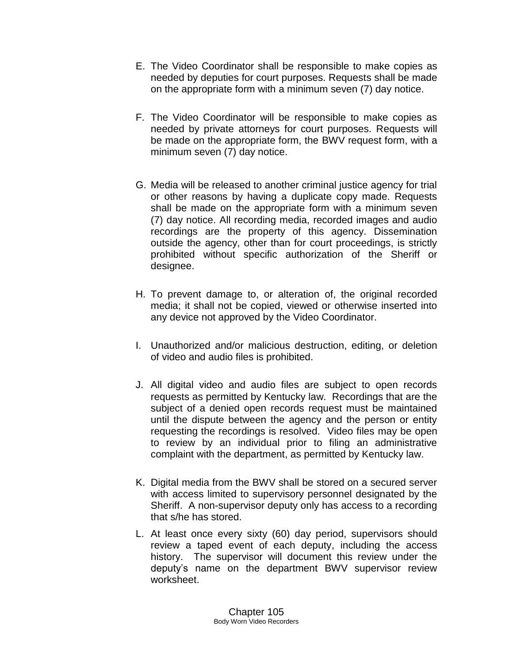- E. The Video Coordinator shall be responsible to make copies as needed by deputies for court purposes. Requests shall be made on the appropriate form with a minimum seven (7) day notice.
- F. The Video Coordinator will be responsible to make copies as needed by private attorneys for court purposes. Requests will be made on the appropriate form, the BWV request form, with a minimum seven (7) day notice.
- G. Media will be released to another criminal justice agency for trial or other reasons by having a duplicate copy made. Requests shall be made on the appropriate form with a minimum seven (7) day notice. All recording media, recorded images and audio recordings are the property of this agency. Dissemination outside the agency, other than for court proceedings, is strictly prohibited without specific authorization of the Sheriff or designee.
- H. To prevent damage to, or alteration of, the original recorded media; it shall not be copied, viewed or otherwise inserted into any device not approved by the Video Coordinator.
- I. Unauthorized and/or malicious destruction, editing, or deletion of video and audio files is prohibited.
- J. All digital video and audio files are subject to open records requests as permitted by Kentucky law. Recordings that are the subject of a denied open records request must be maintained until the dispute between the agency and the person or entity requesting the recordings is resolved. Video files may be open to review by an individual prior to filing an administrative complaint with the department, as permitted by Kentucky law.
- K. Digital media from the BWV shall be stored on a secured server with access limited to supervisory personnel designated by the Sheriff. A non-supervisor deputy only has access to a recording that s/he has stored.
- L. At least once every sixty (60) day period, supervisors should review a taped event of each deputy, including the access history. The supervisor will document this review under the deputy's name on the department BWV supervisor review worksheet.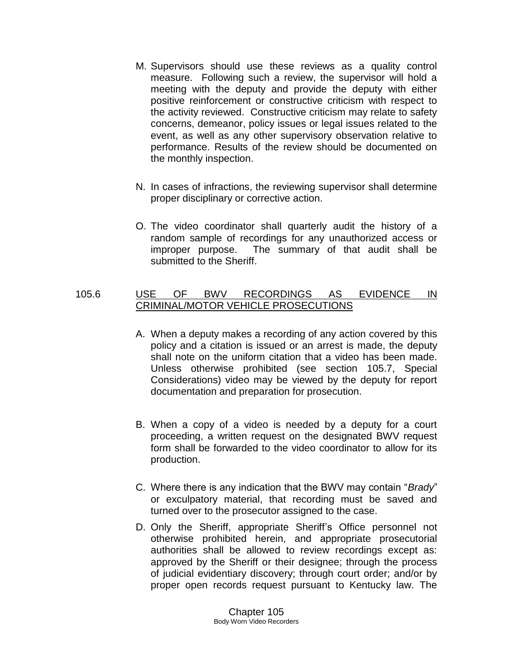- M. Supervisors should use these reviews as a quality control measure. Following such a review, the supervisor will hold a meeting with the deputy and provide the deputy with either positive reinforcement or constructive criticism with respect to the activity reviewed. Constructive criticism may relate to safety concerns, demeanor, policy issues or legal issues related to the event, as well as any other supervisory observation relative to performance. Results of the review should be documented on the monthly inspection.
- N. In cases of infractions, the reviewing supervisor shall determine proper disciplinary or corrective action.
- O. The video coordinator shall quarterly audit the history of a random sample of recordings for any unauthorized access or improper purpose. The summary of that audit shall be submitted to the Sheriff.

## 105.6 USE OF BWV RECORDINGS AS EVIDENCE IN CRIMINAL/MOTOR VEHICLE PROSECUTIONS

- A. When a deputy makes a recording of any action covered by this policy and a citation is issued or an arrest is made, the deputy shall note on the uniform citation that a video has been made. Unless otherwise prohibited (see section 105.7, Special Considerations) video may be viewed by the deputy for report documentation and preparation for prosecution.
- B. When a copy of a video is needed by a deputy for a court proceeding, a written request on the designated BWV request form shall be forwarded to the video coordinator to allow for its production.
- C. Where there is any indication that the BWV may contain "*Brady*" or exculpatory material, that recording must be saved and turned over to the prosecutor assigned to the case.
- D. Only the Sheriff, appropriate Sheriff's Office personnel not otherwise prohibited herein, and appropriate prosecutorial authorities shall be allowed to review recordings except as: approved by the Sheriff or their designee; through the process of judicial evidentiary discovery; through court order; and/or by proper open records request pursuant to Kentucky law. The